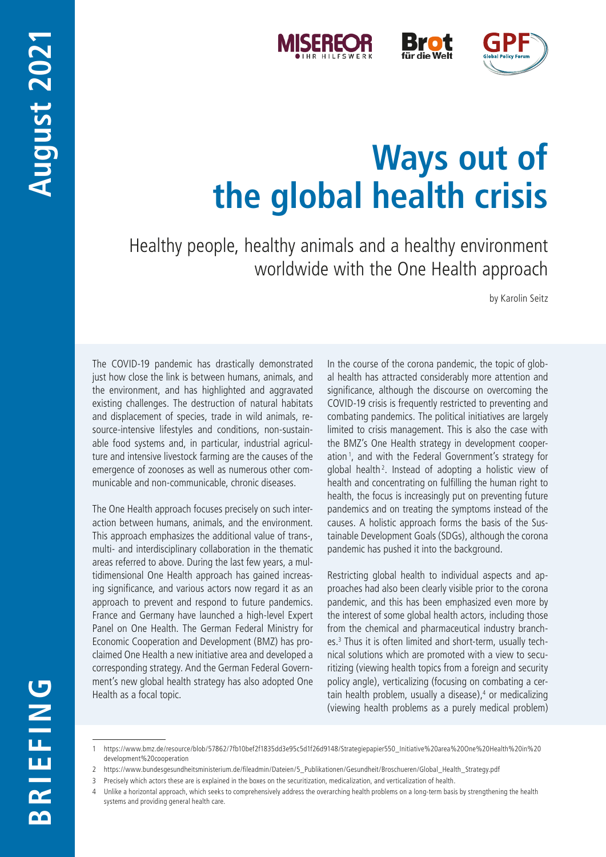



# **Ways out of the global health crisis**

Healthy people, healthy animals and a healthy environment worldwide with the One Health approach

by Karolin Seitz

The COVID-19 pandemic has drastically demonstrated just how close the link is between humans, animals, and the environment, and has highlighted and aggravated existing challenges. The destruction of natural habitats and displacement of species, trade in wild animals, resource-intensive lifestyles and conditions, non-sustainable food systems and, in particular, industrial agriculture and intensive livestock farming are the causes of the emergence of zoonoses as well as numerous other communicable and non-communicable, chronic diseases.

The One Health approach focuses precisely on such interaction between humans, animals, and the environment. This approach emphasizes the additional value of trans-, multi- and interdisciplinary collaboration in the thematic areas referred to above. During the last few years, a multidimensional One Health approach has gained increasing significance, and various actors now regard it as an approach to prevent and respond to future pandemics. France and Germany have launched a high-level Expert Panel on One Health. The German Federal Ministry for Economic Cooperation and Development (BMZ) has proclaimed One Health a new initiative area and developed a corresponding strategy. And the German Federal Government's new global health strategy has also adopted One Health as a focal topic.

In the course of the corona pandemic, the topic of global health has attracted considerably more attention and significance, although the discourse on overcoming the COVID-19 crisis is frequently restricted to preventing and combating pandemics. The political initiatives are largely limited to crisis management. This is also the case with the BMZ's One Health strategy in development cooperation <sup>1</sup> , and with the Federal Government's strategy for global health<sup>2</sup>. Instead of adopting a holistic view of health and concentrating on fulfilling the human right to health, the focus is increasingly put on preventing future pandemics and on treating the symptoms instead of the causes. A holistic approach forms the basis of the Sustainable Development Goals (SDGs), although the corona pandemic has pushed it into the background.

Restricting global health to individual aspects and approaches had also been clearly visible prior to the corona pandemic, and this has been emphasized even more by the interest of some global health actors, including those from the chemical and pharmaceutical industry branches.3 Thus it is often limited and short-term, usually technical solutions which are promoted with a view to securitizing (viewing health topics from a foreign and security policy angle), verticalizing (focusing on combating a certain health problem, usually a disease),<sup>4</sup> or medicalizing (viewing health problems as a purely medical problem)

3 Precisely which actors these are is explained in the boxes on the securitization, medicalization, and verticalization of health.

<sup>1</sup> [https://www.bmz.de/resource/blob/57862/7fb10bef2f1835dd3e95c5d1f26d9148/Strategiepapier550\\_Initiative%20area%20One%20Health%20in%20](https://www.bmz.de/resource/blob/57862/7fb10bef2f1835dd3e95c5d1f26d9148/Strategiepapier550_Initiative%20area%20One%20Health%20in%20development%20cooperation) [development%20cooperation](https://www.bmz.de/resource/blob/57862/7fb10bef2f1835dd3e95c5d1f26d9148/Strategiepapier550_Initiative%20area%20One%20Health%20in%20development%20cooperation)

<sup>2</sup> [https://www.bundesgesundheitsministerium.de/fileadmin/Dateien/5\\_Publikationen/Gesundheit/Broschueren/Global\\_Health\\_Strategy.pdf](https://www.bundesgesundheitsministerium.de/fileadmin/Dateien/5_Publikationen/Gesundheit/Broschueren/Global_Health_Strategy.pdf)

<sup>4</sup> Unlike a horizontal approach, which seeks to comprehensively address the overarching health problems on a long-term basis by strengthening the health systems and providing general health care.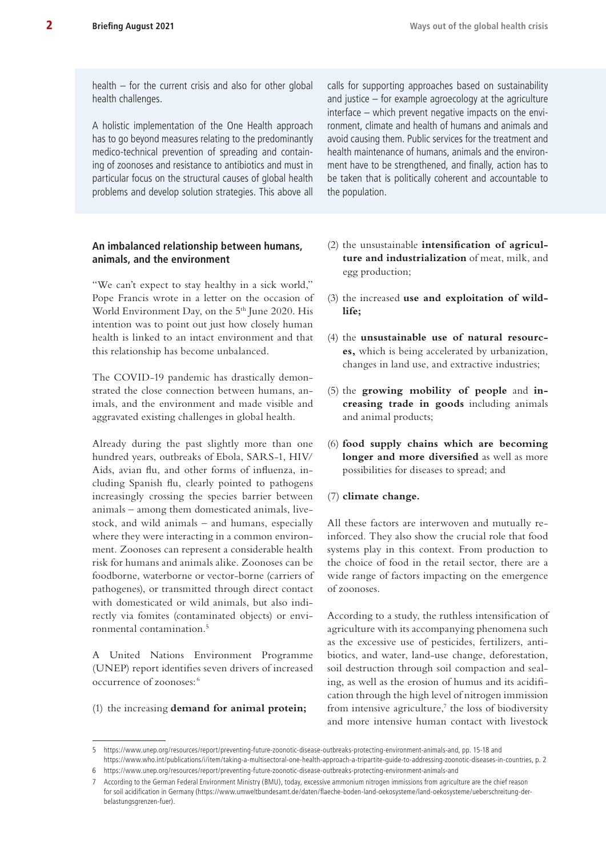health – for the current crisis and also for other global health challenges.

A holistic implementation of the One Health approach has to go beyond measures relating to the predominantly medico-technical prevention of spreading and containing of zoonoses and resistance to antibiotics and must in particular focus on the structural causes of global health problems and develop solution strategies. This above all

# **An imbalanced relationship between humans, animals, and the environment**

"We can't expect to stay healthy in a sick world," Pope Francis wrote in a letter on the occasion of World Environment Day, on the 5<sup>th</sup> June 2020. His intention was to point out just how closely human health is linked to an intact environment and that this relationship has become unbalanced.

The COVID-19 pandemic has drastically demonstrated the close connection between humans, animals, and the environment and made visible and aggravated existing challenges in global health.

Already during the past slightly more than one hundred years, outbreaks of Ebola, SARS-1, HIV/ Aids, avian flu, and other forms of influenza, including Spanish flu, clearly pointed to pathogens increasingly crossing the species barrier between animals – among them domesticated animals, livestock, and wild animals – and humans, especially where they were interacting in a common environment. Zoonoses can represent a considerable health risk for humans and animals alike. Zoonoses can be foodborne, waterborne or vector-borne (carriers of pathogenes), or transmitted through direct contact with domesticated or wild animals, but also indirectly via fomites (contaminated objects) or environmental contamination.5

A United Nations Environment Programme (UNEP) report identifies seven drivers of increased occurrence of zoonoses: <sup>6</sup>

(1) the increasing **demand for animal protein;**

calls for supporting approaches based on sustainability and justice – for example agroecology at the agriculture interface – which prevent negative impacts on the environment, climate and health of humans and animals and avoid causing them. Public services for the treatment and health maintenance of humans, animals and the environment have to be strengthened, and finally, action has to be taken that is politically coherent and accountable to the population.

- (2) the unsustainable **intensification of agriculture and industrialization** of meat, milk, and egg production;
- (3) the increased **use and exploitation of wildlife;**
- (4) the **unsustainable use of natural resources,** which is being accelerated by urbanization, changes in land use, and extractive industries;
- (5) the **growing mobility of people** and **increasing trade in goods** including animals and animal products;
- (6) **food supply chains which are becoming longer and more diversified** as well as more possibilities for diseases to spread; and
- (7) **climate change.**

All these factors are interwoven and mutually reinforced. They also show the crucial role that food systems play in this context. From production to the choice of food in the retail sector, there are a wide range of factors impacting on the emergence of zoonoses.

According to a study, the ruthless intensification of agriculture with its accompanying phenomena such as the excessive use of pesticides, fertilizers, antibiotics, and water, land-use change, deforestation, soil destruction through soil compaction and sealing, as well as the erosion of humus and its acidification through the high level of nitrogen immission from intensive agriculture, $\bar{y}$  the loss of biodiversity and more intensive human contact with livestock

<sup>5</sup> [https://www.unep.org/resources/report/preventing-future-zoonotic-disease-outbreaks-protecting-environment-animals-and,](https://www.unep.org/resources/report/preventing-future-zoonotic-disease-outbreaks-protecting-environment-animals-and) pp. 15-18 and [https://www.who.int/publications/i/item/taking-a-multisectoral-one-health-approach-a-tripartite-guide-to-addressing-zoonotic-diseases-in-countries,](https://www.who.int/publications/i/item/taking-a-multisectoral-one-health-approach-a-tripartite-guide-to-addressing-zoonotic-diseases-in-countries) p. 2

<sup>6</sup> <https://www.unep.org/resources/report/preventing-future-zoonotic-disease-outbreaks-protecting-environment-animals-and>

<sup>7</sup> According to the German Federal Environment Ministry (BMU), today, excessive ammonium nitrogen immissions from agriculture are the chief reason for soil acidification in Germany [\(https://www.umweltbundesamt.de/daten/flaeche-boden-land-oekosysteme/land-oekosysteme/ueberschreitung-der](https://www.umweltbundesamt.de/daten/flaeche-boden-land-oekosysteme/land-oekosysteme/ueberschreitung-der-belastungsgrenzen-fuer)[belastungsgrenzen-fuer](https://www.umweltbundesamt.de/daten/flaeche-boden-land-oekosysteme/land-oekosysteme/ueberschreitung-der-belastungsgrenzen-fuer)).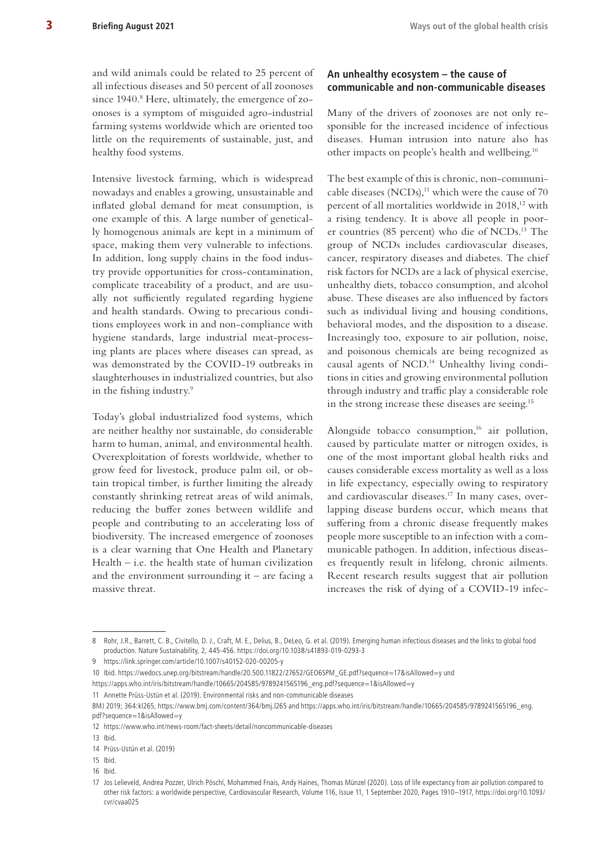and wild animals could be related to 25 percent of all infectious diseases and 50 percent of all zoonoses since 1940.<sup>8</sup> Here, ultimately, the emergence of zoonoses is a symptom of misguided agro-industrial farming systems worldwide which are oriented too little on the requirements of sustainable, just, and healthy food systems.

Intensive livestock farming, which is widespread nowadays and enables a growing, unsustainable and inflated global demand for meat consumption, is one example of this. A large number of genetically homogenous animals are kept in a minimum of space, making them very vulnerable to infections. In addition, long supply chains in the food industry provide opportunities for cross-contamination, complicate traceability of a product, and are usually not sufficiently regulated regarding hygiene and health standards. Owing to precarious conditions employees work in and non-compliance with hygiene standards, large industrial meat-processing plants are places where diseases can spread, as was demonstrated by the COVID-19 outbreaks in slaughterhouses in industrialized countries, but also in the fishing industry.9

Today's global industrialized food systems, which are neither healthy nor sustainable, do considerable harm to human, animal, and environmental health. Overexploitation of forests worldwide, whether to grow feed for livestock, produce palm oil, or obtain tropical timber, is further limiting the already constantly shrinking retreat areas of wild animals, reducing the buffer zones between wildlife and people and contributing to an accelerating loss of biodiversity. The increased emergence of zoonoses is a clear warning that One Health and Planetary Health – i.e. the health state of human civilization and the environment surrounding it  $-$  are facing a massive threat.

#### **An unhealthy ecosystem – the cause of communicable and non-communicable diseases**

Many of the drivers of zoonoses are not only responsible for the increased incidence of infectious diseases. Human intrusion into nature also has other impacts on people's health and wellbeing.10

The best example of this is chronic, non-communicable diseases (NCDs), $11$  which were the cause of 70 percent of all mortalities worldwide in 2018,<sup>12</sup> with a rising tendency. It is above all people in poorer countries (85 percent) who die of NCDs.13 The group of NCDs includes cardiovascular diseases, cancer, respiratory diseases and diabetes. The chief risk factors for NCDs are a lack of physical exercise, unhealthy diets, tobacco consumption, and alcohol abuse. These diseases are also influenced by factors such as individual living and housing conditions, behavioral modes, and the disposition to a disease. Increasingly too, exposure to air pollution, noise, and poisonous chemicals are being recognized as causal agents of NCD.14 Unhealthy living conditions in cities and growing environmental pollution through industry and traffic play a considerable role in the strong increase these diseases are seeing.15

Alongside tobacco consumption, $16$  air pollution, caused by particulate matter or nitrogen oxides, is one of the most important global health risks and causes considerable excess mortality as well as a loss in life expectancy, especially owing to respiratory and cardiovascular diseases.17 In many cases, overlapping disease burdens occur, which means that suffering from a chronic disease frequently makes people more susceptible to an infection with a communicable pathogen. In addition, infectious diseases frequently result in lifelong, chronic ailments. Recent research results suggest that air pollution increases the risk of dying of a COVID-19 infec-

10 Ibid. [https://wedocs.unep.org/bitstream/handle/20.500.11822/27652/GEO6SPM\\_GE.pdf?sequence=17&isAllowed=y](https://wedocs.unep.org/bitstream/handle/20.500.11822/27652/GEO6SPM_GE.pdf?sequence=17&isAllowed=y) und

16 Ibid.

<sup>8</sup> Rohr, J.R., Barrett, C. B., Civitello, D. J., Craft, M. E., Delius, B., DeLeo, G. et al. (2019). Emerging human infectious diseases and the links to global food production. Nature Sustainability, 2, 445-456.<https://doi.org/10.1038/s41893-019-0293-3>

<sup>9</sup> <https://link.springer.com/article/10.1007/s40152-020-00205-y>

[https://apps.who.int/iris/bitstream/handle/10665/204585/9789241565196\\_eng.pdf?sequence=1&isAllowed=y](https://apps.who.int/iris/bitstream/handle/10665/204585/9789241565196_eng.pdf?sequence=1&isAllowed=y)

<sup>11</sup> Annette Prüss-Ustün et al. (2019). Environmental risks and non-communicable diseases

BMJ 2019; 364:kl265,<https://www.bmj.com/content/364/bmj.l265>and [https://apps.who.int/iris/bitstream/handle/10665/204585/9789241565196\\_eng.](https://apps.who.int/iris/bitstream/handle/10665/204585/9789241565196_eng.pdf?sequence=1&isAllowed=y) [pdf?sequence=1&isAllowed=y](https://apps.who.int/iris/bitstream/handle/10665/204585/9789241565196_eng.pdf?sequence=1&isAllowed=y)

<sup>12</sup> <https://www.who.int/news-room/fact-sheets/detail/noncommunicable-diseases>

<sup>13</sup> Ibid.

<sup>14</sup> Prüss-Ustün et al. (2019)

<sup>15</sup> Ibid.

<sup>17</sup> Jos Lelieveld, Andrea Pozzer, Ulrich Pöschl, Mohammed Fnais, Andy Haines, Thomas Münzel (2020). Loss of life expectancy from air pollution compared to other risk factors: a worldwide perspective, Cardiovascular Research, Volume 116, Issue 11, 1 September 2020, Pages 1910–1917, [https://doi.org/10.1093/](https://doi.org/10.1093/cvr/cvaa025) [cvr/cvaa025](https://doi.org/10.1093/cvr/cvaa025)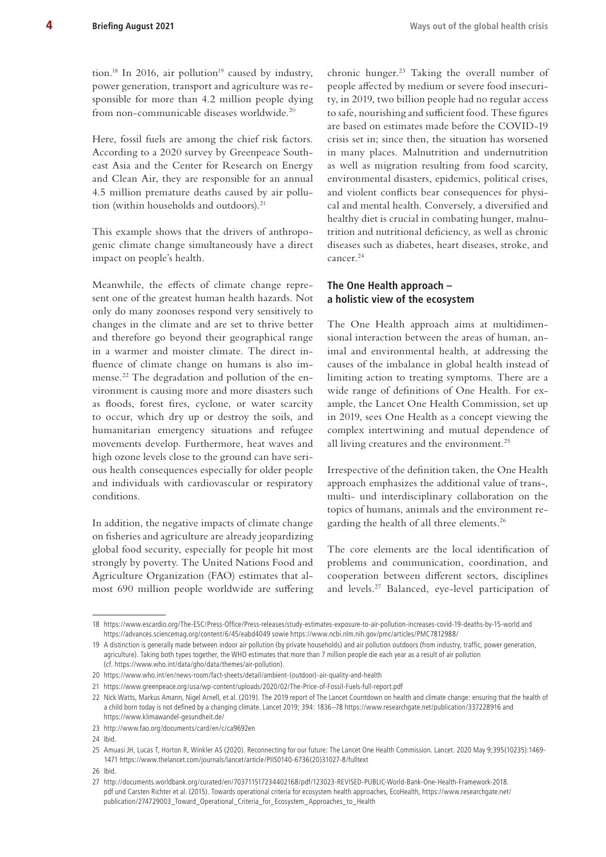tion.<sup>18</sup> In 2016, air pollution<sup>19</sup> caused by industry, power generation, transport and agriculture was responsible for more than 4.2 million people dying from non-communicable diseases worldwide.20

Here, fossil fuels are among the chief risk factors. According to a 2020 survey by Greenpeace Southeast Asia and the Center for Research on Energy and Clean Air, they are responsible for an annual 4.5 million premature deaths caused by air pollution (within households and outdoors).<sup>21</sup>

This example shows that the drivers of anthropogenic climate change simultaneously have a direct impact on people's health.

Meanwhile, the effects of climate change represent one of the greatest human health hazards. Not only do many zoonoses respond very sensitively to changes in the climate and are set to thrive better and therefore go beyond their geographical range in a warmer and moister climate. The direct influence of climate change on humans is also immense.22 The degradation and pollution of the environment is causing more and more disasters such as floods, forest fires, cyclone, or water scarcity to occur, which dry up or destroy the soils, and humanitarian emergency situations and refugee movements develop. Furthermore, heat waves and high ozone levels close to the ground can have serious health consequences especially for older people and individuals with cardiovascular or respiratory conditions.

In addition, the negative impacts of climate change on fisheries and agriculture are already jeopardizing global food security, especially for people hit most strongly by poverty. The United Nations Food and Agriculture Organization (FAO) estimates that almost 690 million people worldwide are suffering chronic hunger.23 Taking the overall number of people affected by medium or severe food insecurity, in 2019, two billion people had no regular access to safe, nourishing and sufficient food. These figures are based on estimates made before the COVID-19 crisis set in; since then, the situation has worsened in many places. Malnutrition and undernutrition as well as migration resulting from food scarcity, environmental disasters, epidemics, political crises, and violent conflicts bear consequences for physical and mental health. Conversely, a diversified and healthy diet is crucial in combating hunger, malnutrition and nutritional deficiency, as well as chronic diseases such as diabetes, heart diseases, stroke, and cancer.24

## **The One Health approach – a holistic view of the ecosystem**

The One Health approach aims at multidimensional interaction between the areas of human, animal and environmental health, at addressing the causes of the imbalance in global health instead of limiting action to treating symptoms. There are a wide range of definitions of One Health. For example, the Lancet One Health Commission, set up in 2019, sees One Health as a concept viewing the complex intertwining and mutual dependence of all living creatures and the environment.<sup>25</sup>

Irrespective of the definition taken, the One Health approach emphasizes the additional value of trans-, multi- und interdisciplinary collaboration on the topics of humans, animals and the environment regarding the health of all three elements.<sup>26</sup>

The core elements are the local identification of problems and communication, coordination, and cooperation between different sectors, disciplines and levels.27 Balanced, eye-level participation of

<sup>18</sup> <https://www.escardio.org/The-ESC/Press-Office/Press-releases/study-estimates-exposure-to-air-pollution-increases-covid-19-deaths-by-15-world> and <https://advances.sciencemag.org/content/6/45/eabd4049>sowie<https://www.ncbi.nlm.nih.gov/pmc/articles/PMC7812988/>

<sup>19</sup> A distinction is generally made between indoor air pollution (by private households) and air pollution outdoors (from industry, traffic, power generation, agriculture). Taking both types together, the WHO estimates that more than 7 million people die each year as a result of air pollution (cf. <https://www.who.int/data/gho/data/themes/air-pollution>).

<sup>20</sup> [https://www.who.int/en/news-room/fact-sheets/detail/ambient-\(outdoor\)-air-quality-and-health](https://www.who.int/en/news-room/fact-sheets/detail/ambient-(outdoor)-air-quality-and-health)

<sup>21</sup> <https://www.greenpeace.org/usa/wp-content/uploads/2020/02/The-Price-of-Fossil-Fuels-full-report.pdf>

<sup>22</sup> Nick Watts, Markus Amann, Nigel Arnell, et al. (2019). The 2019 report of The Lancet Countdown on health and climate change: ensuring that the health of a child born today is not defined by a changing climate. Lancet 2019; 394: 1836–78 <https://www.researchgate.net/publication/337228916> and <https://www.klimawandel-gesundheit.de/>

<sup>23</sup> <http://www.fao.org/documents/card/en/c/ca9692en>

<sup>24</sup> Ibid.

<sup>25</sup> Amuasi JH, Lucas T, Horton R, Winkler AS (2020). Reconnecting for our future: The Lancet One Health Commission. Lancet. 2020 May 9;395(10235):1469- 1471 [https://www.thelancet.com/journals/lancet/article/PIIS0140-6736\(20\)31027-8/fulltext](https://www.thelancet.com/journals/lancet/article/PIIS0140-6736(20)31027-8/fulltext) 

<sup>26</sup> Ibid.

<sup>27</sup> [http://documents.worldbank.org/curated/en/703711517234402168/pdf/123023-REVISED-PUBLIC-World-Bank-One-Health-Framework-2018.](http://documents.worldbank.org/curated/en/703711517234402168/pdf/123023-REVISED-PUBLIC-World-Bank-One-Health-Framework-2018.pdf) [pdf](http://documents.worldbank.org/curated/en/703711517234402168/pdf/123023-REVISED-PUBLIC-World-Bank-One-Health-Framework-2018.pdf) und Carsten Richter et al. (2015). Towards operational criteria for ecosystem health approaches, EcoHealth, [https://www.researchgate.net/](https://www.researchgate.net/publication/274729003_Toward_Operational_Criteria_for_Ecosystem_Approaches_to_Health) [publication/274729003\\_Toward\\_Operational\\_Criteria\\_for\\_Ecosystem\\_Approaches\\_to\\_Health](https://www.researchgate.net/publication/274729003_Toward_Operational_Criteria_for_Ecosystem_Approaches_to_Health)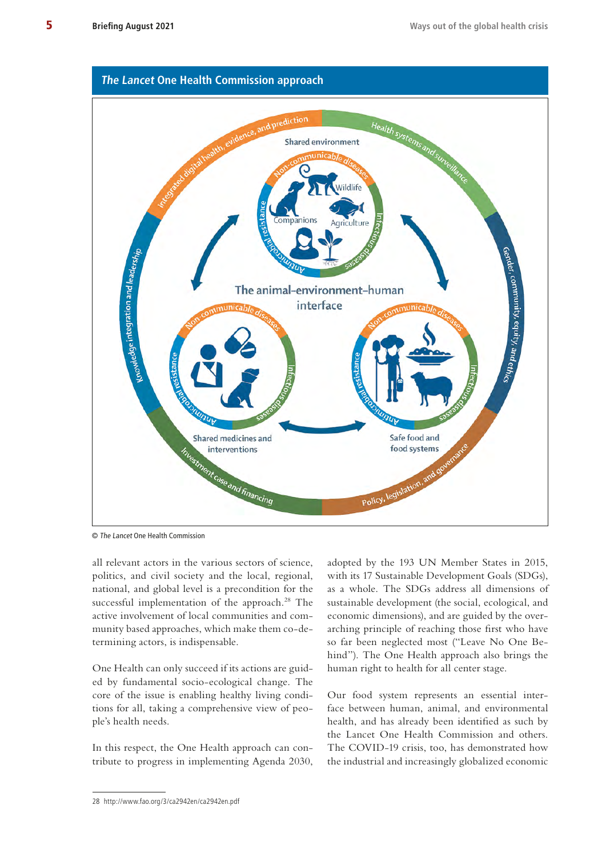

© The Lancet One Health Commission

all relevant actors in the various sectors of science, politics, and civil society and the local, regional, national, and global level is a precondition for the successful implementation of the approach.<sup>28</sup> The active involvement of local communities and community based approaches, which make them co-determining actors, is indispensable.

One Health can only succeed if its actions are guided by fundamental socio-ecological change. The core of the issue is enabling healthy living conditions for all, taking a comprehensive view of people's health needs.

In this respect, the One Health approach can contribute to progress in implementing Agenda 2030,

adopted by the 193 UN Member States in 2015, with its 17 Sustainable Development Goals (SDGs), as a whole. The SDGs address all dimensions of sustainable development (the social, ecological, and economic dimensions), and are guided by the overarching principle of reaching those first who have so far been neglected most ("Leave No One Behind"). The One Health approach also brings the human right to health for all center stage.

Our food system represents an essential interface between human, animal, and environmental health, and has already been identified as such by the Lancet One Health Commission and others. The COVID-19 crisis, too, has demonstrated how the industrial and increasingly globalized economic

<sup>28</sup> <http://www.fao.org/3/ca2942en/ca2942en.pdf>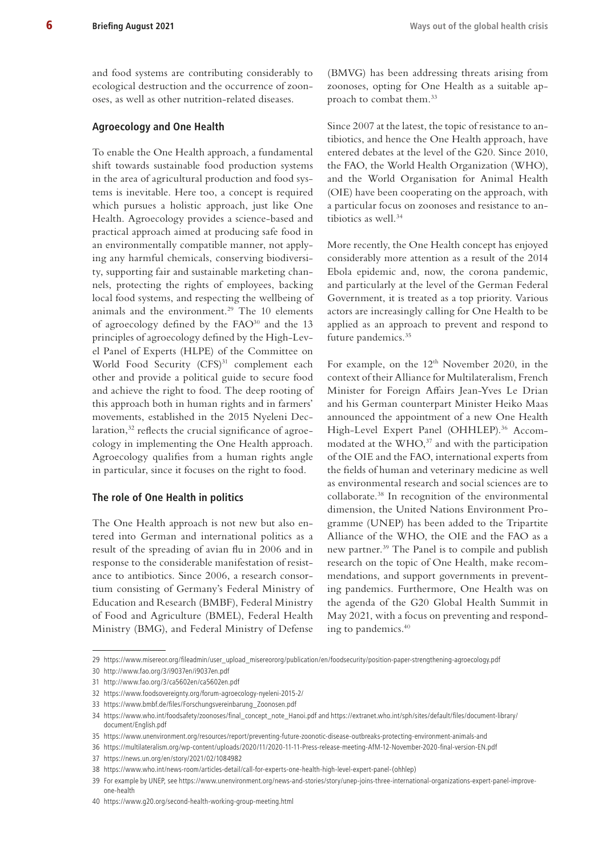and food systems are contributing considerably to ecological destruction and the occurrence of zoonoses, as well as other nutrition-related diseases.

#### **Agroecology and One Health**

To enable the One Health approach, a fundamental shift towards sustainable food production systems in the area of agricultural production and food systems is inevitable. Here too, a concept is required which pursues a holistic approach, just like One Health. Agroecology provides a science-based and practical approach aimed at producing safe food in an environmentally compatible manner, not applying any harmful chemicals, conserving biodiversity, supporting fair and sustainable marketing channels, protecting the rights of employees, backing local food systems, and respecting the wellbeing of animals and the environment.<sup>29</sup> The 10 elements of agroecology defined by the FAO<sup>30</sup> and the 13 principles of agroecology defined by the High-Level Panel of Experts (HLPE) of the Committee on World Food Security (CFS)<sup>31</sup> complement each other and provide a political guide to secure food and achieve the right to food. The deep rooting of this approach both in human rights and in farmers' movements, established in the 2015 Nyeleni Declaration,<sup>32</sup> reflects the crucial significance of agroecology in implementing the One Health approach. Agroecology qualifies from a human rights angle in particular, since it focuses on the right to food.

#### **The role of One Health in politics**

The One Health approach is not new but also entered into German and international politics as a result of the spreading of avian flu in 2006 and in response to the considerable manifestation of resistance to antibiotics. Since 2006, a research consortium consisting of Germany's Federal Ministry of Education and Research (BMBF), Federal Ministry of Food and Agriculture (BMEL), Federal Health Ministry (BMG), and Federal Ministry of Defense

(BMVG) has been addressing threats arising from zoonoses, opting for One Health as a suitable approach to combat them.33

Since 2007 at the latest, the topic of resistance to antibiotics, and hence the One Health approach, have entered debates at the level of the G20. Since 2010, the FAO, the World Health Organization (WHO), and the World Organisation for Animal Health (OIE) have been cooperating on the approach, with a particular focus on zoonoses and resistance to antibiotics as well.<sup>34</sup>

More recently, the One Health concept has enjoyed considerably more attention as a result of the 2014 Ebola epidemic and, now, the corona pandemic, and particularly at the level of the German Federal Government, it is treated as a top priority. Various actors are increasingly calling for One Health to be applied as an approach to prevent and respond to future pandemics.35

For example, on the  $12<sup>th</sup>$  November 2020, in the context of their Alliance for Multilateralism, French Minister for Foreign Affairs Jean-Yves Le Drian and his German counterpart Minister Heiko Maas announced the appointment of a new One Health High-Level Expert Panel (OHHLEP).<sup>36</sup> Accommodated at the WHO,<sup>37</sup> and with the participation of the OIE and the FAO, international experts from the fields of human and veterinary medicine as well as environmental research and social sciences are to collaborate.38 In recognition of the environmental dimension, the United Nations Environment Programme (UNEP) has been added to the Tripartite Alliance of the WHO, the OIE and the FAO as a new partner.39 The Panel is to compile and publish research on the topic of One Health, make recommendations, and support governments in preventing pandemics. Furthermore, One Health was on the agenda of the G20 Global Health Summit in May 2021, with a focus on preventing and responding to pandemics.<sup>40</sup>

<sup>29</sup> [https://www.misereor.org/fileadmin/user\\_upload\\_misereororg/publication/en/foodsecurity/position-paper-strengthening-agroecology.pdf](https://www.misereor.org/fileadmin/user_upload_misereororg/publication/en/foodsecurity/position-paper-strengthening-agroecology.pdf) 

<sup>30</sup> <http://www.fao.org/3/i9037en/i9037en.pdf>

<sup>31</sup> <http://www.fao.org/3/ca5602en/ca5602en.pdf>

<sup>32</sup> <https://www.foodsovereignty.org/forum-agroecology-nyeleni-2015-2/>

<sup>33</sup> [https://www.bmbf.de/files/Forschungsvereinbarung\\_Zoonosen.pdf](https://www.bmbf.de/files/Forschungsvereinbarung_Zoonosen.pdf)

<sup>34</sup> [https://www.who.int/foodsafety/zoonoses/final\\_concept\\_note\\_Hanoi.pdf](https://www.who.int/foodsafety/zoonoses/final_concept_note_Hanoi.pdf) and [https://extranet.who.int/sph/sites/default/files/document-library/](https://extranet.who.int/sph/sites/default/files/document-library/document/English.pdf) [document/English.pdf](https://extranet.who.int/sph/sites/default/files/document-library/document/English.pdf)

<sup>35</sup> <https://www.unenvironment.org/resources/report/preventing-future-zoonotic-disease-outbreaks-protecting-environment-animals-and>

<sup>36</sup> <https://multilateralism.org/wp-content/uploads/2020/11/2020-11-11-Press-release-meeting-AfM-12-November-2020-final-version-EN.pdf>

<sup>37</sup> <https://news.un.org/en/story/2021/02/1084982>

<sup>38</sup> [https://www.who.int/news-room/articles-detail/call-for-experts-one-health-high-level-expert-panel-\(ohhlep\)](https://www.who.int/news-room/articles-detail/call-for-experts-one-health-high-level-expert-panel-(ohhlep)

<sup>39</sup> For example by UNEP, see [https://www.unenvironment.org/news-and-stories/story/unep-joins-three-international-organizations-expert-panel-improve](https://www.unenvironment.org/news-and-stories/story/unep-joins-three-international-organizations-expert-panel-improve-one-health)[one-health](https://www.unenvironment.org/news-and-stories/story/unep-joins-three-international-organizations-expert-panel-improve-one-health)

<sup>40</sup> <https://www.g20.org/second-health-working-group-meeting.html>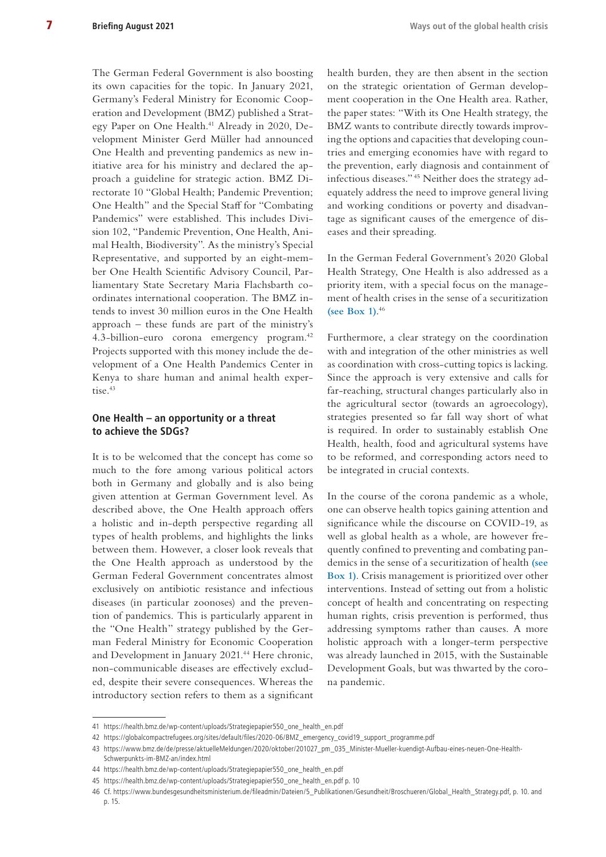The German Federal Government is also boosting its own capacities for the topic. In January 2021, Germany's Federal Ministry for Economic Cooperation and Development (BMZ) published a Strategy Paper on One Health.<sup>41</sup> Already in 2020, Development Minister Gerd Müller had announced One Health and preventing pandemics as new initiative area for his ministry and declared the approach a guideline for strategic action. BMZ Directorate 10 "Global Health; Pandemic Prevention; One Health" and the Special Staff for "Combating Pandemics" were established. This includes Division 102, "Pandemic Prevention, One Health, Animal Health, Biodiversity". As the ministry's Special Representative, and supported by an eight-member One Health Scientific Advisory Council, Parliamentary State Secretary Maria Flachsbarth coordinates international cooperation. The BMZ intends to invest 30 million euros in the One Health approach – these funds are part of the ministry's 4.3-billion-euro corona emergency program.<sup>42</sup> Projects supported with this money include the development of a One Health Pandemics Center in Kenya to share human and animal health expertise.<sup>43</sup>

#### **One Health – an opportunity or a threat to achieve the SDGs?**

It is to be welcomed that the concept has come so much to the fore among various political actors both in Germany and globally and is also being given attention at German Government level. As described above, the One Health approach offers a holistic and in-depth perspective regarding all types of health problems, and highlights the links between them. However, a closer look reveals that the One Health approach as understood by the German Federal Government concentrates almost exclusively on antibiotic resistance and infectious diseases (in particular zoonoses) and the prevention of pandemics. This is particularly apparent in the "One Health" strategy published by the German Federal Ministry for Economic Cooperation and Development in January 2021.<sup>44</sup> Here chronic, non-communicable diseases are effectively excluded, despite their severe consequences. Whereas the introductory section refers to them as a significant health burden, they are then absent in the section on the strategic orientation of German development cooperation in the One Health area. Rather, the paper states: "With its One Health strategy, the BMZ wants to contribute directly towards improving the options and capacities that developing countries and emerging economies have with regard to the prevention, early diagnosis and containment of infectious diseases." 45 Neither does the strategy adequately address the need to improve general living and working conditions or poverty and disadvantage as significant causes of the emergence of diseases and their spreading.

In the German Federal Government's 2020 Global Health Strategy, One Health is also addressed as a priority item, with a special focus on the management of health crises in the sense of a securitization **[\(see Box 1\)](#page-7-0)**. 46

Furthermore, a clear strategy on the coordination with and integration of the other ministries as well as coordination with cross-cutting topics is lacking. Since the approach is very extensive and calls for far-reaching, structural changes particularly also in the agricultural sector (towards an agroecology), strategies presented so far fall way short of what is required. In order to sustainably establish One Health, health, food and agricultural systems have to be reformed, and corresponding actors need to be integrated in crucial contexts.

In the course of the corona pandemic as a whole, one can observe health topics gaining attention and significance while the discourse on COVID-19, as well as global health as a whole, are however frequently confined to preventing and combating pandemics in the sense of a securitization of health **[\(see](#page-7-0)  [Box 1\)](#page-7-0)**. Crisis management is prioritized over other interventions. Instead of setting out from a holistic concept of health and concentrating on respecting human rights, crisis prevention is performed, thus addressing symptoms rather than causes. A more holistic approach with a longer-term perspective was already launched in 2015, with the Sustainable Development Goals, but was thwarted by the corona pandemic.

<sup>41</sup> [https://health.bmz.de/wp-content/uploads/Strategiepapier550\\_one\\_health\\_en.pdf](https://health.bmz.de/wp-content/uploads/Strategiepapier550_one_health_en.pdf)

<sup>42</sup> [https://globalcompactrefugees.org/sites/default/files/2020-06/BMZ\\_emergency\\_covid19\\_support\\_programme.pdf](https://globalcompactrefugees.org/sites/default/files/2020-06/BMZ_emergency_covid19_support_programme.pdf)

<sup>43</sup> [https://www.bmz.de/de/presse/aktuelleMeldungen/2020/oktober/201027\\_pm\\_035\\_Minister-Mueller-kuendigt-Aufbau-eines-neuen-One-Health-](https://www.bmz.de/de/presse/aktuelleMeldungen/2020/oktober/201027_pm_035_Minister-Mueller-kuendigt-Aufbau-eines-neuen-One-Health-Schwerpunkts-im-BMZ-an/index.html)[Schwerpunkts-im-BMZ-an/index.html](https://www.bmz.de/de/presse/aktuelleMeldungen/2020/oktober/201027_pm_035_Minister-Mueller-kuendigt-Aufbau-eines-neuen-One-Health-Schwerpunkts-im-BMZ-an/index.html)

<sup>44</sup> [https://health.bmz.de/wp-content/uploads/Strategiepapier550\\_one\\_health\\_en.pdf](https://health.bmz.de/wp-content/uploads/Strategiepapier550_one_health_en.pdf)

<sup>45</sup> [https://health.bmz.de/wp-content/uploads/Strategiepapier550\\_one\\_health\\_en.pdf](https://health.bmz.de/wp-content/uploads/Strategiepapier550_one_health_en.pdf) p. 10

<sup>46</sup> Cf. [https://www.bundesgesundheitsministerium.de/fileadmin/Dateien/5\\_Publikationen/Gesundheit/Broschueren/Global\\_Health\\_Strategy.pdf,](https://www.bundesgesundheitsministerium.de/fileadmin/Dateien/5_Publikationen/Gesundheit/Broschueren/Global_Health_Strategy.pdf) p. 10. and p. 15.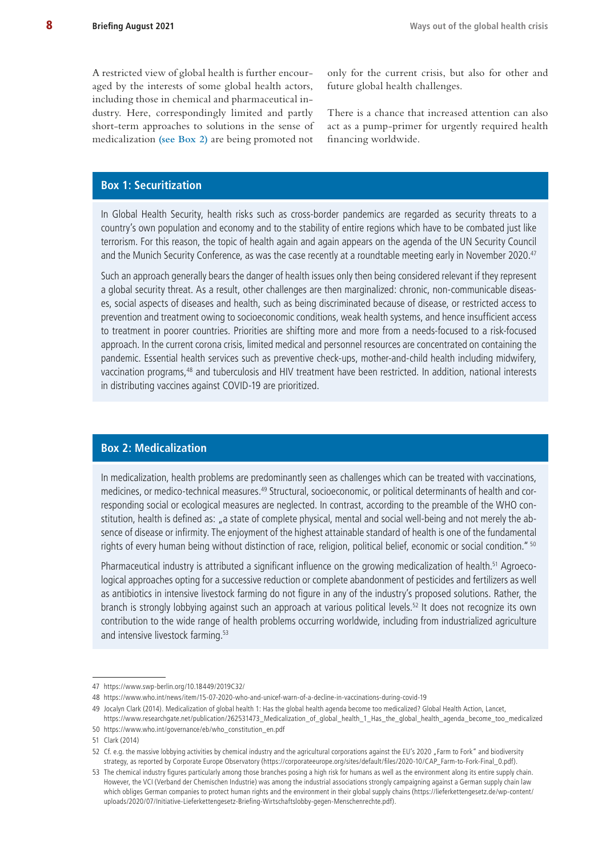A restricted view of global health is further encouraged by the interests of some global health actors, including those in chemical and pharmaceutical industry. Here, correspondingly limited and partly short-term approaches to solutions in the sense of medicalization **[\(see Box 2\)](#page-7-1)** are being promoted not

only for the current crisis, but also for other and future global health challenges.

There is a chance that increased attention can also act as a pump-primer for urgently required health financing worldwide.

# <span id="page-7-0"></span>**Box 1: Securitization**

In Global Health Security, health risks such as cross-border pandemics are regarded as security threats to a country's own population and economy and to the stability of entire regions which have to be combated just like terrorism. For this reason, the topic of health again and again appears on the agenda of the UN Security Council and the Munich Security Conference, as was the case recently at a roundtable meeting early in November 2020.<sup>47</sup>

Such an approach generally bears the danger of health issues only then being considered relevant if they represent a global security threat. As a result, other challenges are then marginalized: chronic, non-communicable diseases, social aspects of diseases and health, such as being discriminated because of disease, or restricted access to prevention and treatment owing to socioeconomic conditions, weak health systems, and hence insufficient access to treatment in poorer countries. Priorities are shifting more and more from a needs-focused to a risk-focused approach. In the current corona crisis, limited medical and personnel resources are concentrated on containing the pandemic. Essential health services such as preventive check-ups, mother-and-child health including midwifery, vaccination programs,48 and tuberculosis and HIV treatment have been restricted. In addition, national interests in distributing vaccines against COVID-19 are prioritized.

### <span id="page-7-1"></span>**Box 2: Medicalization**

In medicalization, health problems are predominantly seen as challenges which can be treated with vaccinations, medicines, or medico-technical measures.<sup>49</sup> Structural, socioeconomic, or political determinants of health and corresponding social or ecological measures are neglected. In contrast, according to the preamble of the WHO constitution, health is defined as: "a state of complete physical, mental and social well-being and not merely the absence of disease or infirmity. The enjoyment of the highest attainable standard of health is one of the fundamental rights of every human being without distinction of race, religion, political belief, economic or social condition." <sup>50</sup>

Pharmaceutical industry is attributed a significant influence on the growing medicalization of health.<sup>51</sup> Agroecological approaches opting for a successive reduction or complete abandonment of pesticides and fertilizers as well as antibiotics in intensive livestock farming do not figure in any of the industry's proposed solutions. Rather, the branch is strongly lobbying against such an approach at various political levels.52 It does not recognize its own contribution to the wide range of health problems occurring worldwide, including from industrialized agriculture and intensive livestock farming.<sup>53</sup>

<sup>47</sup> <https://www.swp-berlin.org/10.18449/2019C32/>

<sup>48</sup> <https://www.who.int/news/item/15-07-2020-who-and-unicef-warn-of-a-decline-in-vaccinations-during-covid-19>

<sup>49</sup> Jocalyn Clark (2014). Medicalization of global health 1: Has the global health agenda become too medicalized? Global Health Action, Lancet,

[https://www.researchgate.net/publication/262531473\\_Medicalization\\_of\\_global\\_health\\_1\\_Has\\_the\\_global\\_health\\_agenda\\_become\\_too\\_medicalized](https://www.researchgate.net/publication/262531473_Medicalization_of_global_health_1_Has_the_global_health_agenda_become_too_medicalized) 50 [https://www.who.int/governance/eb/who\\_constitution\\_en.pdf](https://www.who.int/governance/eb/who_constitution_en.pdf)

<sup>51</sup> Clark (2014)

<sup>52</sup> Cf. e.g. the massive lobbying activities by chemical industry and the agricultural corporations against the EU's 2020 "Farm to Fork" and biodiversity strategy, as reported by Corporate Europe Observatory ([https://corporateeurope.org/sites/default/files/2020-10/CAP\\_Farm-to-Fork-Final\\_0.pdf\)](https://corporateeurope.org/sites/default/files/2020-10/CAP_Farm-to-Fork-Final_0.pdf).

<sup>53</sup> The chemical industry figures particularly among those branches posing a high risk for humans as well as the environment along its entire supply chain. However, the VCI (Verband der Chemischen Industrie) was among the industrial associations strongly campaigning against a German supply chain law which obliges German companies to protect human rights and the environment in their global supply chains ([https://lieferkettengesetz.de/wp-content/](https://lieferkettengesetz.de/wp-content/uploads/2020/07/Initiative-Lieferkettengesetz-Briefing-Wirtschaftslobby-gegen-Menschenrechte.pdf) [uploads/2020/07/Initiative-Lieferkettengesetz-Briefing-Wirtschaftslobby-gegen-Menschenrechte.pdf](https://lieferkettengesetz.de/wp-content/uploads/2020/07/Initiative-Lieferkettengesetz-Briefing-Wirtschaftslobby-gegen-Menschenrechte.pdf)).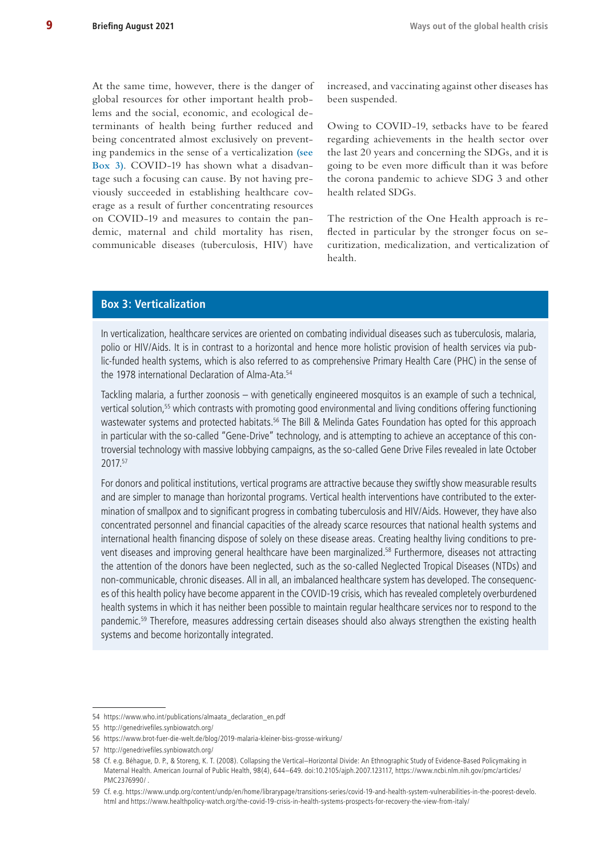At the same time, however, there is the danger of global resources for other important health problems and the social, economic, and ecological determinants of health being further reduced and being concentrated almost exclusively on preventing pandemics in the sense of a verticalization **[\(see](#page-8-0)  [Box 3](#page-8-0))**. COVID-19 has shown what a disadvantage such a focusing can cause. By not having previously succeeded in establishing healthcare coverage as a result of further concentrating resources on COVID-19 and measures to contain the pandemic, maternal and child mortality has risen, communicable diseases (tuberculosis, HIV) have

increased, and vaccinating against other diseases has been suspended.

Owing to COVID-19, setbacks have to be feared regarding achievements in the health sector over the last 20 years and concerning the SDGs, and it is going to be even more difficult than it was before the corona pandemic to achieve SDG 3 and other health related SDGs.

The restriction of the One Health approach is reflected in particular by the stronger focus on securitization, medicalization, and verticalization of health.

## <span id="page-8-0"></span>**Box 3: Verticalization**

In verticalization, healthcare services are oriented on combating individual diseases such as tuberculosis, malaria, polio or HIV/Aids. It is in contrast to a horizontal and hence more holistic provision of health services via public-funded health systems, which is also referred to as comprehensive Primary Health Care (PHC) in the sense of the 1978 international Declaration of Alma-Ata.<sup>54</sup>

Tackling malaria, a further zoonosis – with genetically engineered mosquitos is an example of such a technical, vertical solution,55 which contrasts with promoting good environmental and living conditions offering functioning wastewater systems and protected habitats.<sup>56</sup> The Bill & Melinda Gates Foundation has opted for this approach in particular with the so-called "Gene-Drive" technology, and is attempting to achieve an acceptance of this controversial technology with massive lobbying campaigns, as the so-called Gene Drive Files revealed in late October 2017.57

For donors and political institutions, vertical programs are attractive because they swiftly show measurable results and are simpler to manage than horizontal programs. Vertical health interventions have contributed to the extermination of smallpox and to significant progress in combating tuberculosis and HIV/Aids. However, they have also concentrated personnel and financial capacities of the already scarce resources that national health systems and international health financing dispose of solely on these disease areas. Creating healthy living conditions to prevent diseases and improving general healthcare have been marginalized.<sup>58</sup> Furthermore, diseases not attracting the attention of the donors have been neglected, such as the so-called Neglected Tropical Diseases (NTDs) and non-communicable, chronic diseases. All in all, an imbalanced healthcare system has developed. The consequences of this health policy have become apparent in the COVID-19 crisis, which has revealed completely overburdened health systems in which it has neither been possible to maintain regular healthcare services nor to respond to the pandemic.59 Therefore, measures addressing certain diseases should also always strengthen the existing health systems and become horizontally integrated.

<sup>54</sup> [https://www.who.int/publications/almaata\\_declaration\\_en.pdf](https://www.who.int/publications/almaata_declaration_en.pdf)

<sup>55</sup> <http://genedrivefiles.synbiowatch.org/>

<sup>56</sup> <https://www.brot-fuer-die-welt.de/blog/2019-malaria-kleiner-biss-grosse-wirkung/>

<sup>57</sup> <http://genedrivefiles.synbiowatch.org/>

<sup>58</sup> Cf. e.g. Béhague, D. P., & Storeng, K. T. (2008). Collapsing the Vertical–Horizontal Divide: An Ethnographic Study of Evidence-Based Policymaking in Maternal Health. American Journal of Public Health, 98(4), 644–649. doi:10.2105/ajph.2007.123117, [https://www.ncbi.nlm.nih.gov/pmc/articles/](https://www.ncbi.nlm.nih.gov/pmc/articles/PMC2376990/) [PMC2376990/](https://www.ncbi.nlm.nih.gov/pmc/articles/PMC2376990/) .

<sup>59</sup> Cf. e.g. [https://www.undp.org/content/undp/en/home/librarypage/transitions-series/covid-19-and-health-system-vulnerabilities-in-the-poorest-develo.](https://www.undp.org/content/undp/en/home/librarypage/transitions-series/covid-19-and-health-system-vulnerabilities-in-the-poorest-develo.html) [html](https://www.undp.org/content/undp/en/home/librarypage/transitions-series/covid-19-and-health-system-vulnerabilities-in-the-poorest-develo.html) and <https://www.healthpolicy-watch.org/the-covid-19-crisis-in-health-systems-prospects-for-recovery-the-view-from-italy/>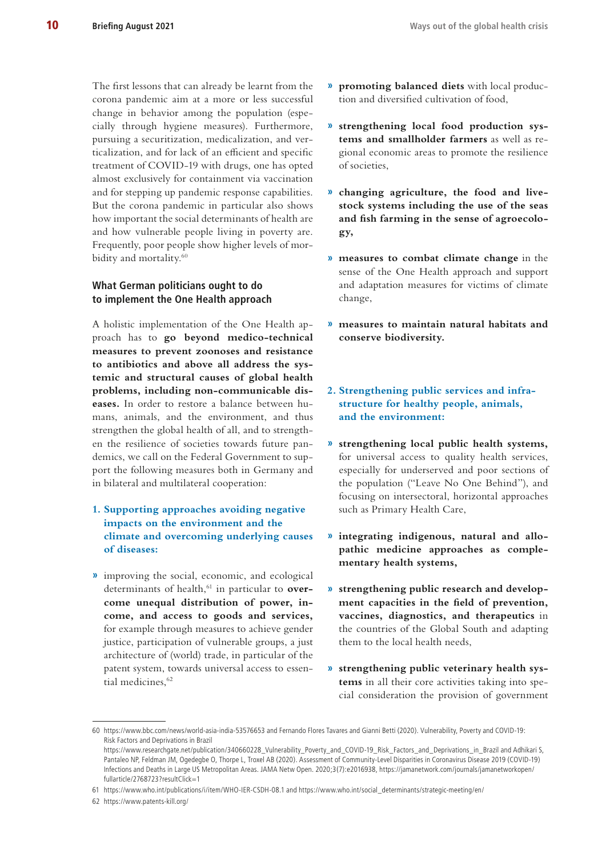The first lessons that can already be learnt from the corona pandemic aim at a more or less successful change in behavior among the population (especially through hygiene measures). Furthermore, pursuing a securitization, medicalization, and verticalization, and for lack of an efficient and specific treatment of COVID-19 with drugs, one has opted almost exclusively for containment via vaccination and for stepping up pandemic response capabilities. But the corona pandemic in particular also shows how important the social determinants of health are and how vulnerable people living in poverty are. Frequently, poor people show higher levels of morbidity and mortality.<sup>60</sup>

## **What German politicians ought to do to implement the One Health approach**

A holistic implementation of the One Health approach has to **go beyond medico-technical measures to prevent zoonoses and resistance to antibiotics and above all address the systemic and structural causes of global health problems, including non-communicable diseases.** In order to restore a balance between humans, animals, and the environment, and thus strengthen the global health of all, and to strengthen the resilience of societies towards future pandemics, we call on the Federal Government to support the following measures both in Germany and in bilateral and multilateral cooperation:

## **1. Supporting approaches avoiding negative impacts on the environment and the climate and overcoming underlying causes of diseases:**

**»** improving the social, economic, and ecological determinants of health,<sup>61</sup> in particular to **overcome unequal distribution of power, income, and access to goods and services,** for example through measures to achieve gender justice, participation of vulnerable groups, a just architecture of (world) trade, in particular of the patent system, towards universal access to essential medicines, 62

- **» promoting balanced diets** with local production and diversified cultivation of food,
- **» strengthening local food production systems and smallholder farmers** as well as regional economic areas to promote the resilience of societies,
- **» changing agriculture, the food and livestock systems including the use of the seas and fish farming in the sense of agroecology,**
- **» measures to combat climate change** in the sense of the One Health approach and support and adaptation measures for victims of climate change,
- **» measures to maintain natural habitats and conserve biodiversity.**
- **2. Strengthening public services and infrastructure for healthy people, animals, and the environment:**
- **» strengthening local public health systems,** for universal access to quality health services, especially for underserved and poor sections of the population ("Leave No One Behind"), and focusing on intersectoral, horizontal approaches such as Primary Health Care,
- **» integrating indigenous, natural and allopathic medicine approaches as complementary health systems,**
- **» strengthening public research and development capacities in the field of prevention, vaccines, diagnostics, and therapeutics** in the countries of the Global South and adapting them to the local health needs,
- **» strengthening public veterinary health systems** in all their core activities taking into special consideration the provision of government

[fullarticle/2768723?resultClick=1](https://jamanetwork.com/journals/jamanetworkopen/fullarticle/2768723?resultClick=1)

<sup>60</sup> <https://www.bbc.com/news/world-asia-india-53576653> and Fernando Flores Tavares and Gianni Betti (2020). Vulnerability, Poverty and COVID-19: Risk Factors and Deprivations in Brazil [https://www.researchgate.net/publication/340660228\\_Vulnerability\\_Poverty\\_and\\_COVID-19\\_Risk\\_Factors\\_and\\_Deprivations\\_in\\_Brazil](https://www.researchgate.net/publication/340660228_Vulnerability_Poverty_and_COVID-19_Risk_Factors_and_Deprivations_in_Brazil) and Adhikari S, Pantaleo NP, Feldman JM, Ogedegbe O, Thorpe L, Troxel AB (2020). Assessment of Community-Level Disparities in Coronavirus Disease 2019 (COVID-19) Infections and Deaths in Large US Metropolitan Areas. JAMA Netw Open. 2020;3(7):e2016938, [https://jamanetwork.com/journals/jamanetworkopen/](https://jamanetwork.com/journals/jamanetworkopen/fullarticle/2768723?resultClick=1)

<sup>61</sup> <https://www.who.int/publications/i/item/WHO-IER-CSDH-08.1> and [https://www.who.int/social\\_determinants/strategic-meeting/en/](https://www.who.int/social_determinants/strategic-meeting/en/)

<sup>62</sup> <https://www.patents-kill.org/>